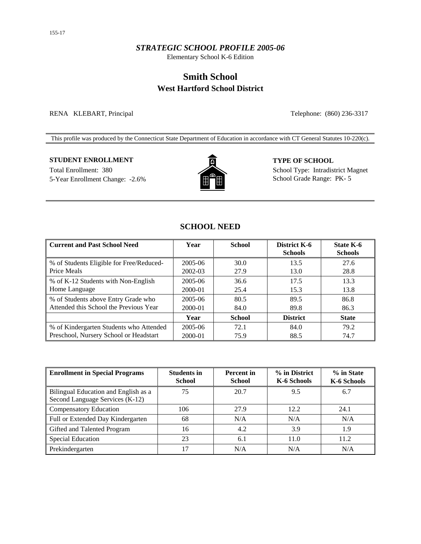### *STRATEGIC SCHOOL PROFILE 2005-06*

Elementary School K-6 Edition

# **Smith School West Hartford School District**

RENA KLEBART, Principal Telephone: (860) 236-3317

This profile was produced by the Connecticut State Department of Education in accordance with CT General Statutes 10-220(c).

### **STUDENT ENROLLMENT TYPE OF SCHOOL**

5-Year Enrollment Change: -2.6% School Grade Range: PK- 5



Total Enrollment: 380 School Type: Intradistrict Magnet

# **SCHOOL NEED**

| <b>Current and Past School Need</b>      | Year    | <b>School</b> | District K-6<br><b>Schools</b> | <b>State K-6</b><br><b>Schools</b> |
|------------------------------------------|---------|---------------|--------------------------------|------------------------------------|
| % of Students Eligible for Free/Reduced- | 2005-06 | 30.0          | 13.5                           | 27.6                               |
| Price Meals                              | 2002-03 | 27.9          | 13.0                           | 28.8                               |
| % of K-12 Students with Non-English      | 2005-06 | 36.6          | 17.5                           | 13.3                               |
| Home Language                            | 2000-01 | 25.4          | 15.3                           | 13.8                               |
| % of Students above Entry Grade who      | 2005-06 | 80.5          | 89.5                           | 86.8                               |
| Attended this School the Previous Year   | 2000-01 | 84.0          | 89.8                           | 86.3                               |
|                                          | Year    | <b>School</b> | <b>District</b>                | <b>State</b>                       |
| % of Kindergarten Students who Attended  | 2005-06 | 72.1          | 84.0                           | 79.2                               |
| Preschool, Nursery School or Headstart   | 2000-01 | 75.9          | 88.5                           | 74.7                               |

| <b>Enrollment in Special Programs</b>                                   | <b>Students in</b><br><b>School</b> | <b>Percent</b> in<br><b>School</b> | % in District<br>K-6 Schools | % in State<br>K-6 Schools |
|-------------------------------------------------------------------------|-------------------------------------|------------------------------------|------------------------------|---------------------------|
| Bilingual Education and English as a<br>Second Language Services (K-12) | 75                                  | 20.7                               | 9.5                          | 6.7                       |
| <b>Compensatory Education</b>                                           | 106                                 | 27.9                               | 12.2                         | 24.1                      |
| Full or Extended Day Kindergarten                                       | 68                                  | N/A                                | N/A                          | N/A                       |
| Gifted and Talented Program                                             | 16                                  | 4.2                                | 3.9                          | 1.9                       |
| <b>Special Education</b>                                                | 23                                  | 6.1                                | 11.0                         | 11.2                      |
| Prekindergarten                                                         | 17                                  | N/A                                | N/A                          | N/A                       |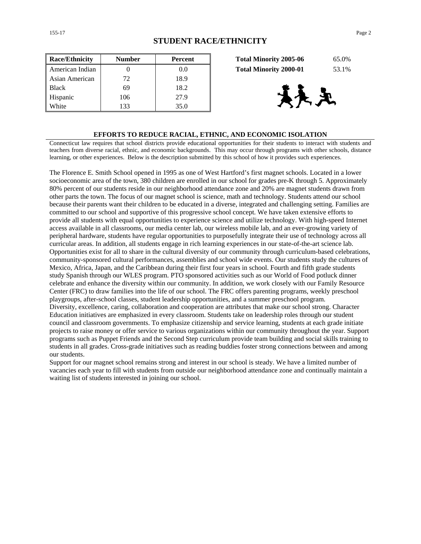| <b>Race/Ethnicity</b> | <b>Number</b> | <b>Percent</b> | 65.0%<br><b>Total Minority 2005-06</b> |
|-----------------------|---------------|----------------|----------------------------------------|
| American Indian       |               | 0.0            | <b>Total Minority 2000-01</b><br>53.1% |
| Asian American        | 72            | 18.9           |                                        |
| <b>Black</b>          | 69            | 18.2           |                                        |
| Hispanic              | 106           | 27.9           | 天王                                     |
| White                 | 133           | 35.0           |                                        |

| <b>Total Minority 2005-06</b> | 65.0% |
|-------------------------------|-------|
| <b>Total Minority 2000-01</b> | 53.1% |



#### **EFFORTS TO REDUCE RACIAL, ETHNIC, AND ECONOMIC ISOLATION**

Connecticut law requires that school districts provide educational opportunities for their students to interact with students and teachers from diverse racial, ethnic, and economic backgrounds. This may occur through programs with other schools, distance learning, or other experiences. Below is the description submitted by this school of how it provides such experiences.

The Florence E. Smith School opened in 1995 as one of West Hartford's first magnet schools. Located in a lower socioeconomic area of the town, 380 children are enrolled in our school for grades pre-K through 5. Approximately 80% percent of our students reside in our neighborhood attendance zone and 20% are magnet students drawn from other parts the town. The focus of our magnet school is science, math and technology. Students attend our school because their parents want their children to be educated in a diverse, integrated and challenging setting. Families are committed to our school and supportive of this progressive school concept. We have taken extensive efforts to provide all students with equal opportunities to experience science and utilize technology. With high-speed Internet access available in all classrooms, our media center lab, our wireless mobile lab, and an ever-growing variety of peripheral hardware, students have regular opportunities to purposefully integrate their use of technology across all curricular areas. In addition, all students engage in rich learning experiences in our state-of-the-art science lab. Opportunities exist for all to share in the cultural diversity of our community through curriculum-based celebrations, community-sponsored cultural performances, assemblies and school wide events. Our students study the cultures of Mexico, Africa, Japan, and the Caribbean during their first four years in school. Fourth and fifth grade students study Spanish through our WLES program. PTO sponsored activities such as our World of Food potluck dinner celebrate and enhance the diversity within our community. In addition, we work closely with our Family Resource Center (FRC) to draw families into the life of our school. The FRC offers parenting programs, weekly preschool playgroups, after-school classes, student leadership opportunities, and a summer preschool program. Diversity, excellence, caring, collaboration and cooperation are attributes that make our school strong. Character Education initiatives are emphasized in every classroom. Students take on leadership roles through our student council and classroom governments. To emphasize citizenship and service learning, students at each grade initiate projects to raise money or offer service to various organizations within our community throughout the year. Support programs such as Puppet Friends and the Second Step curriculum provide team building and social skills training to students in all grades. Cross-grade initiatives such as reading buddies foster strong connections between and among our students.

Support for our magnet school remains strong and interest in our school is steady. We have a limited number of vacancies each year to fill with students from outside our neighborhood attendance zone and continually maintain a waiting list of students interested in joining our school.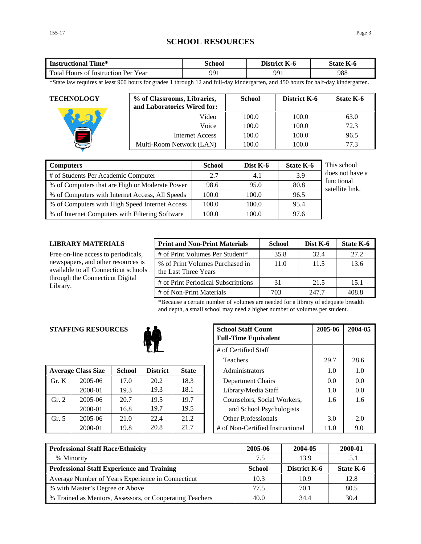# **SCHOOL RESOURCES**

| Time*                               | `chool | District | $-$       |
|-------------------------------------|--------|----------|-----------|
| <b>Instructional</b>                |        | - K-0    | State K-6 |
| Total Hours of Instruction Per Year | 991    | 991      | 988       |

\*State law requires at least 900 hours for grades 1 through 12 and full-day kindergarten, and 450 hours for half-day kindergarten.

| <b>TECHNOLOGY</b> | % of Classrooms, Libraries,<br>and Laboratories Wired for: | <b>School</b> | District K-6 | State K-6 |
|-------------------|------------------------------------------------------------|---------------|--------------|-----------|
|                   | Video                                                      | 100.0         | 100.0        | 63.0      |
|                   | Voice                                                      | 100.0         | 100.0        | 72.3      |
|                   | Internet Access                                            | 100.0         | 100.0        | 96.5      |
|                   | Multi-Room Network (LAN)                                   | 100.0         | 100.0        | 77.3      |

| <b>Computers</b>                                | <b>School</b> | Dist $K-6$ | <b>State K-6</b> | This school                   |
|-------------------------------------------------|---------------|------------|------------------|-------------------------------|
| # of Students Per Academic Computer             | 2.7           | 4.1        | 3.9              | does not have a               |
| % of Computers that are High or Moderate Power  | 98.6          | 95.0       | 80.8             | functional<br>satellite link. |
| % of Computers with Internet Access, All Speeds | 100.0         | 100.0      | 96.5             |                               |
| % of Computers with High Speed Internet Access  | 100.0         | 100.0      | 95.4             |                               |
| % of Internet Computers with Filtering Software | 100.0         | 100.0      | 97.6             |                               |

### **LIBRARY MATERIALS**

Free on-line access to periodicals, newspapers, and other resources is available to all Connecticut schools through the Connecticut Digital Library.

| <b>Print and Non-Print Materials</b>                    | <b>School</b> | Dist K-6 | State K-6 |
|---------------------------------------------------------|---------------|----------|-----------|
| # of Print Volumes Per Student*                         | 35.8          | 32.4     | 27.2      |
| % of Print Volumes Purchased in<br>the Last Three Years | 11.0          | 11.5     | 13.6      |
| # of Print Periodical Subscriptions                     | 31            | 21.5     | 15.1      |
| # of Non-Print Materials                                | 703           | 247.7    | 408.8     |

\*Because a certain number of volumes are needed for a library of adequate breadth and depth, a small school may need a higher number of volumes per student.

### **STAFFING RESOURCES**



|                | <b>Average Class Size</b> | <b>School</b> | <b>District</b> | <b>State</b> | Administrators                   | 1.0  | 1.0 |
|----------------|---------------------------|---------------|-----------------|--------------|----------------------------------|------|-----|
| $\Gamma$ Gr. K | 2005-06                   | 17.0          | 20.2            | 18.3         | Department Chairs                | 0.0  | 0.0 |
|                | 2000-01                   | 19.3          | 19.3            | 18.1         | Library/Media Staff              | 1.0  | 0.0 |
| Gr. 2          | 2005-06                   | 20.7          | 19.5            | 19.7         | Counselors, Social Workers,      | 1.6  | 1.6 |
|                | 2000-01                   | 16.8          | 19.7            | 19.5         | and School Psychologists         |      |     |
| Gr. 5          | 2005-06                   | 21.0          | 22.4            | 21.2         | <b>Other Professionals</b>       | 3.0  | 2.0 |
|                | 2000-01                   | 19.8          | 20.8            | 21.7         | # of Non-Certified Instructional | 11.0 | 9.0 |

|            | <b>G RESOURCES</b><br><b>School Staff Count</b><br><b>Full-Time Equivalent</b> |                 | 2005-06      | 2004-05                          |      |      |
|------------|--------------------------------------------------------------------------------|-----------------|--------------|----------------------------------|------|------|
|            | # of Certified Staff                                                           |                 |              |                                  |      |      |
|            |                                                                                |                 |              | <b>Teachers</b>                  | 29.7 | 28.6 |
| 'lass Size | <b>School</b>                                                                  | <b>District</b> | <b>State</b> | Administrators                   | 1.0  | 1.0  |
| 2005-06    | 17.0                                                                           | 20.2            | 18.3         | Department Chairs                | 0.0  | 0.0  |
| 2000-01    | 19.3                                                                           | 19.3            | 18.1         | Library/Media Staff              | 1.0  | 0.0  |
| 2005-06    | 20.7                                                                           | 19.5            | 19.7         | Counselors, Social Workers,      | 1.6  | 1.6  |
| 2000-01    | 16.8                                                                           | 19.7            | 19.5         | and School Psychologists         |      |      |
| 2005-06    | 21.0                                                                           | 22.4            | 21.2         | <b>Other Professionals</b>       | 3.0  | 2.0  |
| 2000-01    | 19.8                                                                           | 20.8            | 21.7         | # of Non-Certified Instructional | 11.0 | 9.0  |

| <b>Professional Staff Race/Ethnicity</b>                 | 2005-06       | 2004-05             | 2000-01   |
|----------------------------------------------------------|---------------|---------------------|-----------|
| % Minority                                               | 7.5           | 13.9                |           |
| <b>Professional Staff Experience and Training</b>        | <b>School</b> | <b>District K-6</b> | State K-6 |
| Average Number of Years Experience in Connecticut        | 10.3          | 10.9                | 12.8      |
| % with Master's Degree or Above                          | 77.5          | 70.1                | 80.5      |
| % Trained as Mentors, Assessors, or Cooperating Teachers | 40.0          | 34.4                | 30.4      |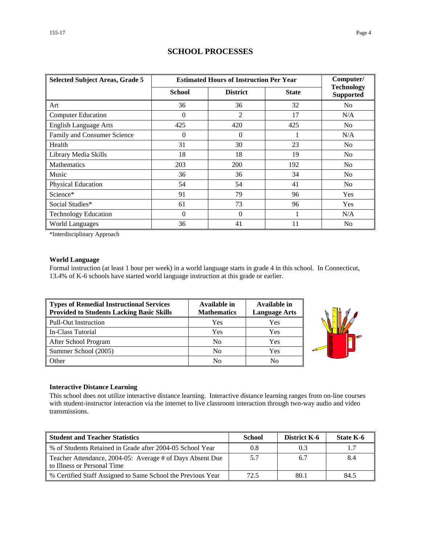| <b>Selected Subject Areas, Grade 5</b> | <b>Estimated Hours of Instruction Per Year</b> | Computer/       |              |                                       |
|----------------------------------------|------------------------------------------------|-----------------|--------------|---------------------------------------|
|                                        | <b>School</b>                                  | <b>District</b> | <b>State</b> | <b>Technology</b><br><b>Supported</b> |
| Art                                    | 36                                             | 36              | 32           | N <sub>0</sub>                        |
| <b>Computer Education</b>              | $\Omega$                                       | 2               | 17           | N/A                                   |
| <b>English Language Arts</b>           | 425                                            | 420             | 425          | N <sub>0</sub>                        |
| Family and Consumer Science            | $\Omega$                                       | $\Omega$        |              | N/A                                   |
| Health                                 | 31                                             | 30              | 23           | N <sub>0</sub>                        |
| Library Media Skills                   | 18                                             | 18              | 19           | N <sub>0</sub>                        |
| <b>Mathematics</b>                     | 203                                            | 200             | 192          | N <sub>0</sub>                        |
| Music                                  | 36                                             | 36              | 34           | N <sub>0</sub>                        |
| Physical Education                     | 54                                             | 54              | 41           | No                                    |
| Science*                               | 91                                             | 79              | 96           | Yes                                   |
| Social Studies*                        | 61                                             | 73              | 96           | Yes                                   |
| <b>Technology Education</b>            | $\Omega$                                       | $\Omega$        |              | N/A                                   |
| <b>World Languages</b>                 | 36                                             | 41              | 11           | N <sub>0</sub>                        |

### **SCHOOL PROCESSES**

\*Interdisciplinary Approach

#### **World Language**

Formal instruction (at least 1 hour per week) in a world language starts in grade 4 in this school. In Connecticut, 13.4% of K-6 schools have started world language instruction at this grade or earlier.

| Types of Remedial Instructional Services<br><b>Provided to Students Lacking Basic Skills</b> | Available in<br><b>Mathematics</b> | Available in<br><b>Language Arts</b> |
|----------------------------------------------------------------------------------------------|------------------------------------|--------------------------------------|
| Pull-Out Instruction                                                                         | Yes                                | Yes                                  |
| In-Class Tutorial                                                                            | Yes                                | Yes                                  |
| After School Program                                                                         | N <sub>0</sub>                     | Yes                                  |
| Summer School (2005)                                                                         | No                                 | Yes                                  |
| <b>Other</b>                                                                                 | No                                 | No                                   |



#### **Interactive Distance Learning**

This school does not utilize interactive distance learning. Interactive distance learning ranges from on-line courses with student-instructor interaction via the internet to live classroom interaction through two-way audio and video transmissions.

| <b>Student and Teacher Statistics</b>                                                    | <b>School</b> | <b>District K-6</b> | State K-6 |
|------------------------------------------------------------------------------------------|---------------|---------------------|-----------|
| Ⅰ % of Students Retained in Grade after 2004-05 School Year                              | 0.8           | 0.3                 | 1.7       |
| Teacher Attendance, 2004-05: Average # of Days Absent Due<br>to Illness or Personal Time | 5.7           | 6.7                 | 8.4       |
| ↓ % Certified Staff Assigned to Same School the Previous Year                            | 72.5          | 80.1                | 84.5      |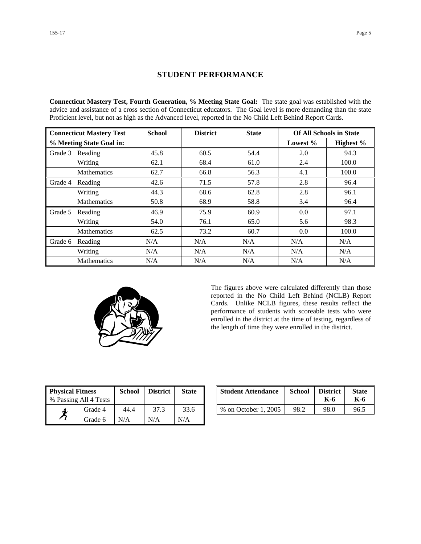### **STUDENT PERFORMANCE**

**Connecticut Mastery Test, Fourth Generation, % Meeting State Goal:** The state goal was established with the advice and assistance of a cross section of Connecticut educators. The Goal level is more demanding than the state Proficient level, but not as high as the Advanced level, reported in the No Child Left Behind Report Cards.

| <b>Connecticut Mastery Test</b> |                    | <b>School</b> | <b>District</b> | <b>State</b> | <b>Of All Schools in State</b> |           |  |
|---------------------------------|--------------------|---------------|-----------------|--------------|--------------------------------|-----------|--|
| % Meeting State Goal in:        |                    |               |                 |              | Lowest $%$                     | Highest % |  |
| Grade 3                         | Reading            | 45.8          | 60.5            | 54.4         | 2.0                            | 94.3      |  |
|                                 | Writing            | 62.1          | 68.4            | 61.0         | 2.4                            | 100.0     |  |
|                                 | <b>Mathematics</b> | 62.7          | 66.8            | 56.3         | 4.1                            | 100.0     |  |
| Grade 4                         | Reading            | 42.6          | 71.5            | 57.8         | 2.8                            | 96.4      |  |
|                                 | Writing            | 44.3          | 68.6            | 62.8         | 2.8                            | 96.1      |  |
|                                 | Mathematics        | 50.8          | 68.9            | 58.8         | 3.4                            | 96.4      |  |
| Grade 5                         | Reading            | 46.9          | 75.9            | 60.9         | 0.0                            | 97.1      |  |
|                                 | Writing            | 54.0          | 76.1            | 65.0         | 5.6                            | 98.3      |  |
|                                 | <b>Mathematics</b> | 62.5          | 73.2            | 60.7         | 0.0                            | 100.0     |  |
| Grade 6                         | Reading            | N/A           | N/A             | N/A          | N/A                            | N/A       |  |
|                                 | Writing            | N/A           | N/A             | N/A          | N/A                            | N/A       |  |
|                                 | <b>Mathematics</b> | N/A           | N/A             | N/A          | N/A                            | N/A       |  |



The figures above were calculated differently than those reported in the No Child Left Behind (NCLB) Report Cards. Unlike NCLB figures, these results reflect the performance of students with scoreable tests who were enrolled in the district at the time of testing, regardless of the length of time they were enrolled in the district.

| <b>Physical Fitness</b> |         | <b>School</b> | <b>District</b> | <b>State</b> |
|-------------------------|---------|---------------|-----------------|--------------|
| % Passing All 4 Tests   |         |               |                 |              |
|                         | Grade 4 | 44.4          | 37.3            | 33.6         |
|                         | Grade 6 | N/A           | N/A             | N/A          |

| ness<br>11 4 Tests | School | <b>District</b> | <b>State</b> | <b>Student Attendance</b> | School | <b>District</b><br>K-6 | <b>State</b><br>K-6 |
|--------------------|--------|-----------------|--------------|---------------------------|--------|------------------------|---------------------|
| Grade 4            | 44.4   | 37.3            | 33.6         | % on October 1, 2005      | 98.2   | 98.0                   | 96.5                |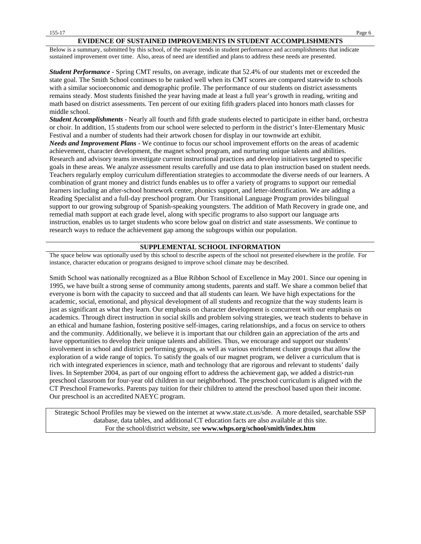#### **EVIDENCE OF SUSTAINED IMPROVEMENTS IN STUDENT ACCOMPLISHMENTS**

Below is a summary, submitted by this school, of the major trends in student performance and accomplishments that indicate sustained improvement over time. Also, areas of need are identified and plans to address these needs are presented.

*Student Performance* - Spring CMT results, on average, indicate that 52.4% of our students met or exceeded the state goal. The Smith School continues to be ranked well when its CMT scores are compared statewide to schools with a similar socioeconomic and demographic profile. The performance of our students on district assessments remains steady. Most students finished the year having made at least a full year's growth in reading, writing and math based on district assessments. Ten percent of our exiting fifth graders placed into honors math classes for middle school.

*Student Accomplishments* - Nearly all fourth and fifth grade students elected to participate in either band, orchestra or choir. In addition, 15 students from our school were selected to perform in the district's Inter-Elementary Music Festival and a number of students had their artwork chosen for display in our townwide art exhibit. *Needs and Improvement Plans* - We continue to focus our school improvement efforts on the areas of academic achievement, character development, the magnet school program, and nurturing unique talents and abilities. Research and advisory teams investigate current instructional practices and develop initiatives targeted to specific goals in these areas. We analyze assessment results carefully and use data to plan instruction based on student needs. Teachers regularly employ curriculum differentiation strategies to accommodate the diverse needs of our learners. A combination of grant money and district funds enables us to offer a variety of programs to support our remedial learners including an after-school homework center, phonics support, and letter-identification. We are adding a Reading Specialist and a full-day preschool program. Our Transitional Language Program provides bilingual support to our growing subgroup of Spanish-speaking youngsters. The addition of Math Recovery in grade one, and remedial math support at each grade level, along with specific programs to also support our language arts instruction, enables us to target students who score below goal on district and state assessments. We continue to research ways to reduce the achievement gap among the subgroups within our population.

#### **SUPPLEMENTAL SCHOOL INFORMATION**

The space below was optionally used by this school to describe aspects of the school not presented elsewhere in the profile. For instance, character education or programs designed to improve school climate may be described.

Smith School was nationally recognized as a Blue Ribbon School of Excellence in May 2001. Since our opening in 1995, we have built a strong sense of community among students, parents and staff. We share a common belief that everyone is born with the capacity to succeed and that all students can learn. We have high expectations for the academic, social, emotional, and physical development of all students and recognize that the way students learn is just as significant as what they learn. Our emphasis on character development is concurrent with our emphasis on academics. Through direct instruction in social skills and problem solving strategies, we teach students to behave in an ethical and humane fashion, fostering positive self-images, caring relationships, and a focus on service to others and the community. Additionally, we believe it is important that our children gain an appreciation of the arts and have opportunities to develop their unique talents and abilities. Thus, we encourage and support our students' involvement in school and district performing groups, as well as various enrichment cluster groups that allow the exploration of a wide range of topics. To satisfy the goals of our magnet program, we deliver a curriculum that is rich with integrated experiences in science, math and technology that are rigorous and relevant to students' daily lives. In September 2004, as part of our ongoing effort to address the achievement gap, we added a district-run preschool classroom for four-year old children in our neighborhood. The preschool curriculum is aligned with the CT Preschool Frameworks. Parents pay tuition for their children to attend the preschool based upon their income. Our preschool is an accredited NAEYC program.

Strategic School Profiles may be viewed on the internet at www.state.ct.us/sde. A more detailed, searchable SSP database, data tables, and additional CT education facts are also available at this site. For the school/district website, see **www.whps.org/school/smith/index.htm**